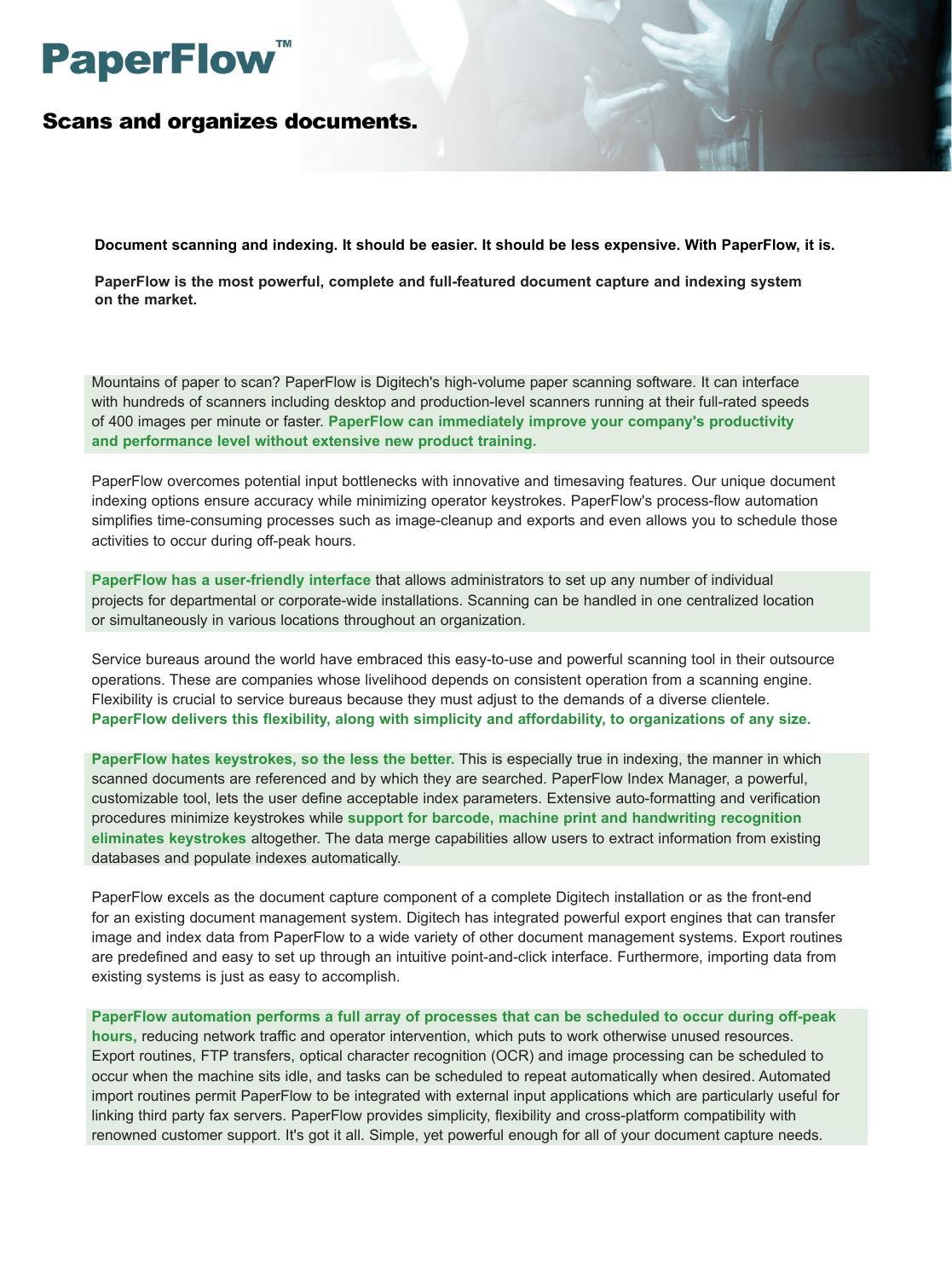# **PaperFlow**

**Scans and organizes documents.** 

**Document scanning and indexing. It should be easier. It should be less expensive. With PaperFlow, it is.**

**PaperFlow is the most powerful, complete and full-featured document capture and indexing system on the market.**

Mountains of paper to scan? PaperFlow is Digitech's high-volume paper scanning software. It can interface with hundreds of scanners including desktop and production-level scanners running at their full-rated speeds of 400 images per minute or faster. **PaperFlow can immediately improve your company's productivity and performance level without extensive new product training.**

PaperFlow overcomes potential input bottlenecks with innovative and timesaving features. Our unique document indexing options ensure accuracy while minimizing operator keystrokes. PaperFlow's process-flow automation simplifies time-consuming processes such as image-cleanup and exports and even allows you to schedule those activities to occur during off-peak hours.

**PaperFlow has a user-friendly interface** that allows administrators to set up any number of individual projects for departmental or corporate-wide installations. Scanning can be handled in one centralized location or simultaneously in various locations throughout an organization.

Service bureaus around the world have embraced this easy-to-use and powerful scanning tool in their outsource operations. These are companies whose livelihood depends on consistent operation from a scanning engine. Flexibility is crucial to service bureaus because they must adjust to the demands of a diverse clientele. **PaperFlow delivers this flexibility, along with simplicity and affordability, to organizations of any size.**

**PaperFlow hates keystrokes, so the less the better.** This is especially true in indexing, the manner in which scanned documents are referenced and by which they are searched. PaperFlow Index Manager, a powerful, customizable tool, lets the user define acceptable index parameters. Extensive auto-formatting and verification procedures minimize keystrokes while **support for barcode, machine print and handwriting recognition eliminates keystrokes** altogether. The data merge capabilities allow users to extract information from existing databases and populate indexes automatically.

PaperFlow excels as the document capture component of a complete Digitech installation or as the front-end for an existing document management system. Digitech has integrated powerful export engines that can transfer image and index data from PaperFlow to a wide variety of other document management systems. Export routines are predefined and easy to set up through an intuitive point-and-click interface. Furthermore, importing data from existing systems is just as easy to accomplish.

**PaperFlow automation performs a full array of processes that can be scheduled to occur during off-peak hours,** reducing network traffic and operator intervention, which puts to work otherwise unused resources. Export routines, FTP transfers, optical character recognition (OCR) and image processing can be scheduled to occur when the machine sits idle, and tasks can be scheduled to repeat automatically when desired. Automated import routines permit PaperFlow to be integrated with external input applications which are particularly useful for linking third party fax servers. PaperFlow provides simplicity, flexibility and cross-platform compatibility with renowned customer support. It's got it all. Simple, yet powerful enough for all of your document capture needs.